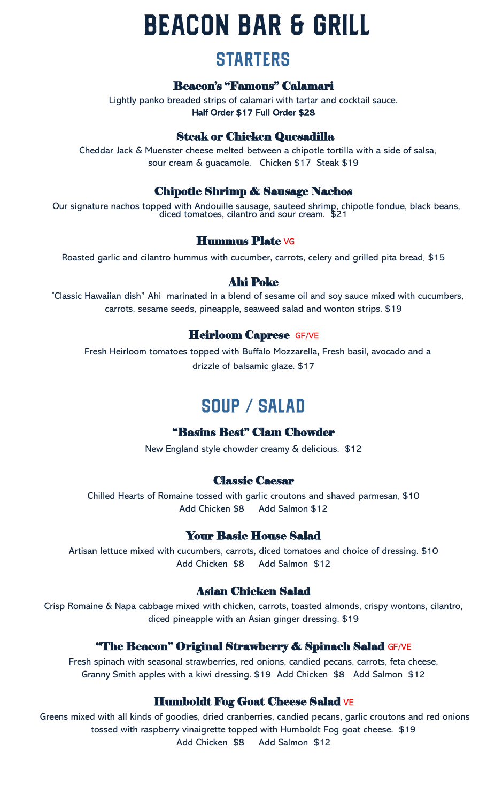# **BEACON BAR & GRILL**

## **STARTERS**

#### Beacon's "Famous" Calamari

Lightly panko breaded strips of calamari with tartar and cocktail sauce. Half Order \$17 Full Order \$28

#### Steak or Chicken Quesadilla

Cheddar Jack & Muenster cheese melted between a chipotle tortilla with a side of salsa, sour cream & guacamole. Chicken \$17 Steak \$19

#### Chipotle Shrimp & Sausage Nachos

Our signature nachos topped with Andouille sausage, sauteed shrimp, chipotle fondue, black beans, diced tomatoes, cilantro and sour cream. \$21

#### Hummus Plate VG

Roasted garlic and cilantro hummus with cucumber, carrots, celery and grilled pita bread. \$15

#### Ahi Poke

Classic Hawaiian dish" Ahi marinated in a blend of sesame oil and soy sauce mixed with cucumbers, carrots, sesame seeds, pineapple, seaweed salad and wonton strips. \$19

#### Heirloom Caprese GF/VE

Fresh Heirloom tomatoes topped with Buffalo Mozzarella, Fresh basil, avocado and a drizzle of balsamic glaze. \$17

## SOUP / SALAD

#### "Basins Best" Clam Chowder

New England style chowder creamy & delicious. \$12

#### Classic Caesar

Chilled Hearts of Romaine tossed with garlic croutons and shaved parmesan, \$10 Add Chicken \$8 Add Salmon \$12

#### Your Basic House Salad

Artisan lettuce mixed with cucumbers, carrots, diced tomatoes and choice of dressing. \$10 Add Chicken \$8 Add Salmon \$12

#### Asian Chicken Salad

Crisp Romaine & Napa cabbage mixed with chicken, carrots, toasted almonds, crispy wontons, cilantro, diced pineapple with an Asian ginger dressing. \$19

#### **"The Beacon" Original Strawberry & Spinach Salad GF/VE**

Fresh spinach with seasonal strawberries, red onions, candied pecans, carrots, feta cheese, Granny Smith apples with a kiwi dressing. \$19 Add Chicken \$8 Add Salmon \$12

#### Humboldt Fog Goat Cheese Salad VE

Greens mixed with all kinds of goodies, dried cranberries, candied pecans, garlic croutons and red onions tossed with raspberry vinaigrette topped with Humboldt Fog goat cheese. \$19 Add Chicken \$8 Add Salmon \$12